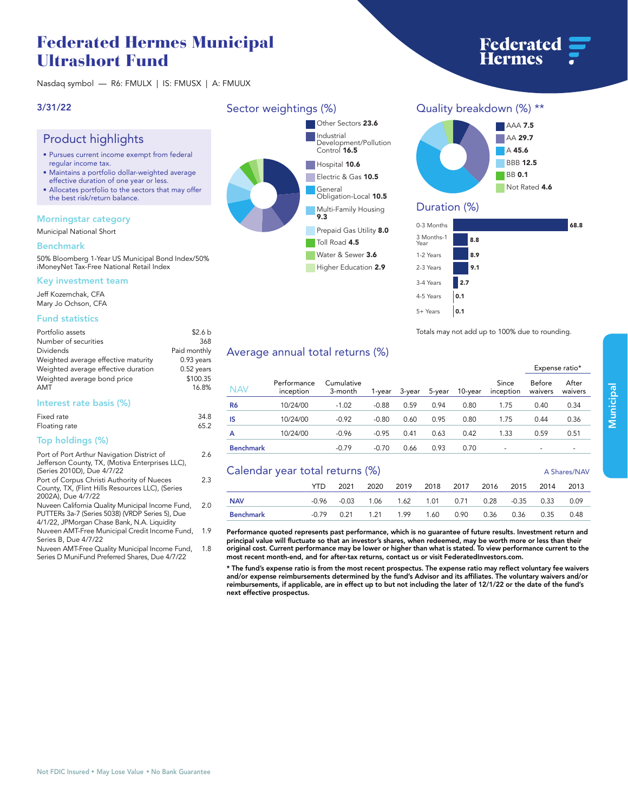# **Federated Hermes Municipal Ultrashort Fund**

**Nasdaq symbol — R6: FMULX | IS: FMUSX | A: FMUUX**

### **3/31/22**

# **Product highlights**

- **• Pursues current income exempt from federal regular income tax.**
- **• Maintains a portfolio dollar-weighted average effective duration of one year or less.**
- **• Allocates portfolio to the sectors that may offer the best risk/return balance.**

### **Morningstar category**

**Municipal National Short**

### **Benchmark**

**50% Bloomberg 1-Year US Municipal Bond Index/50% iMoneyNet Tax-Free National Retail Index**

#### **Key investment team**

**Jeff Kozemchak, CFA Mary Jo Ochson, CFA**

### **Fund statistics**

| Portfolio assets                    | \$2.6 <sub>b</sub> |
|-------------------------------------|--------------------|
| Number of securities                | 368                |
| Dividends                           | Paid monthly       |
| Weighted average effective maturity | $0.93$ years       |
| Weighted average effective duration | $0.52$ years       |
| Weighted average bond price         | \$100.35           |
| <b>AMT</b>                          | 16.8%              |
|                                     |                    |

### **Interest rate basis (%)**

| Fixed rate    | 34.8 |
|---------------|------|
| Floating rate | 65.2 |
| $\cdots$      |      |

**2.6**

**2.3**

**1.8**

### **Top holdings (%)**

| Port of Port Arthur Navigation District of      |
|-------------------------------------------------|
| Jefferson County, TX, (Motiva Enterprises LLC), |
| (Series 2010D), Due 4/7/22                      |

**Port of Corpus Christi Authority of Nueces County, TX, (Flint Hills Resources LLC), (Series 2002A), Due 4/7/22**

**Nuveen California Quality Municipal Income Fund, PUTTERs 3a-7 (Series 5038) (VRDP Series 5), Due 4/1/22, JPMorgan Chase Bank, N.A. Liquidity 2.0**

**Nuveen AMT-Free Municipal Credit Income Fund, 1.9 Series B, Due 4/7/22**

**Nuveen AMT-Free Quality Municipal Income Fund, Series D MuniFund Preferred Shares, Due 4/7/22**

### **Sector weightings (%)**



**Higher Education 2.9** 

**Quality breakdown (%) \*\* AAA 7.5**



### **Duration (%)**

| 0-3 Months         | 68.8 |  |
|--------------------|------|--|
| 3 Months-1<br>Year | 8.8  |  |
| 1-2 Years          | 8.9  |  |
| 2-3 Years          | 9.1  |  |
| 3-4 Years          | 2.7  |  |
| 4-5 Years          | 0.1  |  |
| 5+ Years           | 0.1  |  |

**may not add up to 100% due to rounding. Totals** 

## **Average annual total returns (%)**

| NAV              | Performance<br>inception | Cumulative<br>3-month | 1-vear  | 3-year | 5-year | 10-vear | Since<br>inception       | Before<br>waivers | After<br>waivers         |
|------------------|--------------------------|-----------------------|---------|--------|--------|---------|--------------------------|-------------------|--------------------------|
| R6               | 10/24/00                 | $-1.02$               | $-0.88$ | 0.59   | 0.94   | 0.80    | 1.75                     | 0.40              | 0.34                     |
| IS               | 10/24/00                 | $-0.92$               | $-0.80$ | 0.60   | 0.95   | 0.80    | 1.75                     | 0.44              | 0.36                     |
| A                | 10/24/00                 | $-0.96$               | $-0.95$ | 0.41   | 0.63   | 0.42    | 1.33                     | 0.59              | 0.51                     |
| <b>Benchmark</b> |                          | $-0.79$               | $-0.70$ | 0.66   | 0.93   | 0.70    | $\overline{\phantom{a}}$ |                   | $\overline{\phantom{0}}$ |

### **Calendar year total returns (%) A Shares/NAV**

|            | $\frac{1}{2}$ |  |  |  |  |  |  | A JUQIC ON INAV                                       |  |      |  |
|------------|---------------|--|--|--|--|--|--|-------------------------------------------------------|--|------|--|
|            |               |  |  |  |  |  |  | YTD 2021 2020 2019 2018 2017 2016 2015 2014 2013      |  |      |  |
| <b>NAV</b> |               |  |  |  |  |  |  | -0.96 -0.03 1.06 1.62 1.01 0.71 0.28 -0.35 0.33 0.09  |  |      |  |
| Benchmark  |               |  |  |  |  |  |  | -0.79  0.21  1.21  1.99  1.60  0.90  0.36  0.36  0.35 |  | 0.48 |  |

**Performance quoted represents past performance, which is no guarantee of future results. Investment return and principal value will fluctuate so that an investor's shares, when redeemed, may be worth more or less than their original cost. Current performance may be lower or higher than what is stated. To view performance current to the most recent month-end, and for after-tax returns, contact us or visit [FederatedInvestors.com.](www.federatedinvestors.com)**

**\* The fund's expense ratio is from the most recent prospectus. The expense ratio may reflect voluntary fee waivers and/or expense reimbursements determined by the fund's Advisor and its affiliates. The voluntary waivers and/or reimbursements, if applicable, are in effect up to but not including the later of 12/1/22 or the date of the fund's next effective prospectus.**

**Expense ratio\***